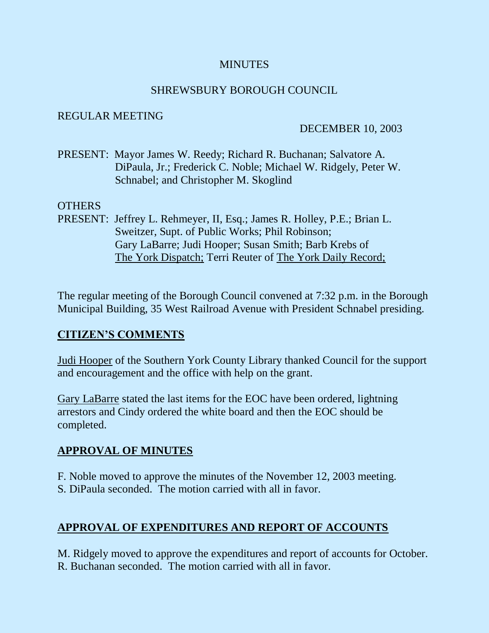## **MINUTES**

## SHREWSBURY BOROUGH COUNCIL

## REGULAR MEETING

## DECEMBER 10, 2003

PRESENT: Mayor James W. Reedy; Richard R. Buchanan; Salvatore A. DiPaula, Jr.; Frederick C. Noble; Michael W. Ridgely, Peter W. Schnabel; and Christopher M. Skoglind

## OTHERS

PRESENT: Jeffrey L. Rehmeyer, II, Esq.; James R. Holley, P.E.; Brian L. Sweitzer, Supt. of Public Works; Phil Robinson; Gary LaBarre; Judi Hooper; Susan Smith; Barb Krebs of The York Dispatch; Terri Reuter of The York Daily Record;

The regular meeting of the Borough Council convened at 7:32 p.m. in the Borough Municipal Building, 35 West Railroad Avenue with President Schnabel presiding.

## **CITIZEN'S COMMENTS**

Judi Hooper of the Southern York County Library thanked Council for the support and encouragement and the office with help on the grant.

Gary LaBarre stated the last items for the EOC have been ordered, lightning arrestors and Cindy ordered the white board and then the EOC should be completed.

## **APPROVAL OF MINUTES**

- F. Noble moved to approve the minutes of the November 12, 2003 meeting.
- S. DiPaula seconded. The motion carried with all in favor.

# **APPROVAL OF EXPENDITURES AND REPORT OF ACCOUNTS**

M. Ridgely moved to approve the expenditures and report of accounts for October. R. Buchanan seconded. The motion carried with all in favor.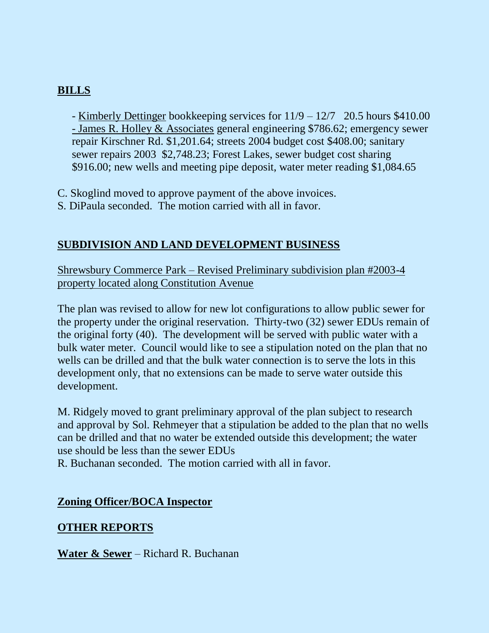# **BILLS**

- Kimberly Dettinger bookkeeping services for 11/9 – 12/7 20.5 hours \$410.00 - James R. Holley & Associates general engineering \$786.62; emergency sewer repair Kirschner Rd. \$1,201.64; streets 2004 budget cost \$408.00; sanitary sewer repairs 2003 \$2,748.23; Forest Lakes, sewer budget cost sharing \$916.00; new wells and meeting pipe deposit, water meter reading \$1,084.65

C. Skoglind moved to approve payment of the above invoices.

S. DiPaula seconded. The motion carried with all in favor.

## **SUBDIVISION AND LAND DEVELOPMENT BUSINESS**

Shrewsbury Commerce Park – Revised Preliminary subdivision plan #2003-4 property located along Constitution Avenue

The plan was revised to allow for new lot configurations to allow public sewer for the property under the original reservation. Thirty-two (32) sewer EDUs remain of the original forty (40). The development will be served with public water with a bulk water meter. Council would like to see a stipulation noted on the plan that no wells can be drilled and that the bulk water connection is to serve the lots in this development only, that no extensions can be made to serve water outside this development.

M. Ridgely moved to grant preliminary approval of the plan subject to research and approval by Sol. Rehmeyer that a stipulation be added to the plan that no wells can be drilled and that no water be extended outside this development; the water use should be less than the sewer EDUs

R. Buchanan seconded. The motion carried with all in favor.

## **Zoning Officer/BOCA Inspector**

## **OTHER REPORTS**

**Water & Sewer** – Richard R. Buchanan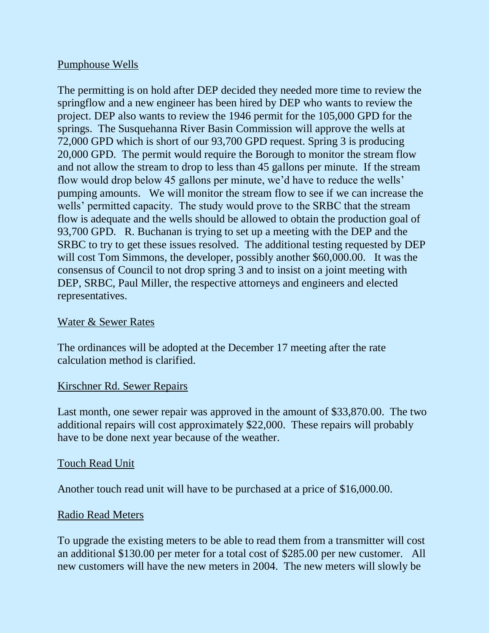#### Pumphouse Wells

The permitting is on hold after DEP decided they needed more time to review the springflow and a new engineer has been hired by DEP who wants to review the project. DEP also wants to review the 1946 permit for the 105,000 GPD for the springs. The Susquehanna River Basin Commission will approve the wells at 72,000 GPD which is short of our 93,700 GPD request. Spring 3 is producing 20,000 GPD. The permit would require the Borough to monitor the stream flow and not allow the stream to drop to less than 45 gallons per minute. If the stream flow would drop below 45 gallons per minute, we'd have to reduce the wells' pumping amounts. We will monitor the stream flow to see if we can increase the wells' permitted capacity. The study would prove to the SRBC that the stream flow is adequate and the wells should be allowed to obtain the production goal of 93,700 GPD. R. Buchanan is trying to set up a meeting with the DEP and the SRBC to try to get these issues resolved. The additional testing requested by DEP will cost Tom Simmons, the developer, possibly another \$60,000.00. It was the consensus of Council to not drop spring 3 and to insist on a joint meeting with DEP, SRBC, Paul Miller, the respective attorneys and engineers and elected representatives.

#### Water & Sewer Rates

The ordinances will be adopted at the December 17 meeting after the rate calculation method is clarified.

#### Kirschner Rd. Sewer Repairs

Last month, one sewer repair was approved in the amount of \$33,870.00. The two additional repairs will cost approximately \$22,000. These repairs will probably have to be done next year because of the weather.

#### Touch Read Unit

Another touch read unit will have to be purchased at a price of \$16,000.00.

#### Radio Read Meters

To upgrade the existing meters to be able to read them from a transmitter will cost an additional \$130.00 per meter for a total cost of \$285.00 per new customer. All new customers will have the new meters in 2004. The new meters will slowly be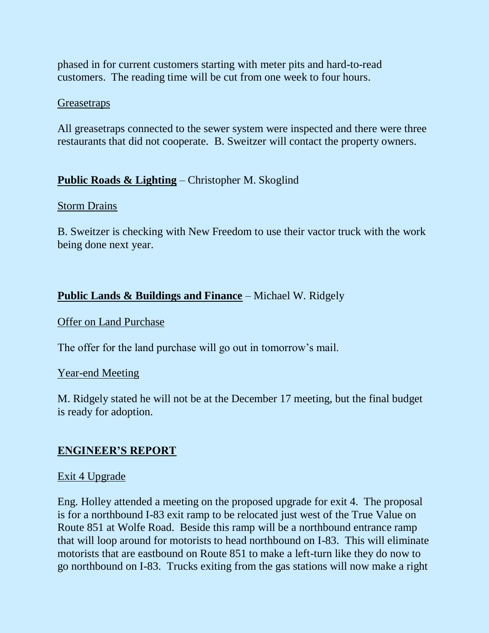phased in for current customers starting with meter pits and hard-to-read customers. The reading time will be cut from one week to four hours.

#### **Greasetraps**

All greasetraps connected to the sewer system were inspected and there were three restaurants that did not cooperate. B. Sweitzer will contact the property owners.

## **Public Roads & Lighting** – Christopher M. Skoglind

#### Storm Drains

B. Sweitzer is checking with New Freedom to use their vactor truck with the work being done next year.

## **Public Lands & Buildings and Finance** – Michael W. Ridgely

#### Offer on Land Purchase

The offer for the land purchase will go out in tomorrow's mail.

#### Year-end Meeting

M. Ridgely stated he will not be at the December 17 meeting, but the final budget is ready for adoption.

## **ENGINEER'S REPORT**

## Exit 4 Upgrade

Eng. Holley attended a meeting on the proposed upgrade for exit 4. The proposal is for a northbound I-83 exit ramp to be relocated just west of the True Value on Route 851 at Wolfe Road. Beside this ramp will be a northbound entrance ramp that will loop around for motorists to head northbound on I-83. This will eliminate motorists that are eastbound on Route 851 to make a left-turn like they do now to go northbound on I-83. Trucks exiting from the gas stations will now make a right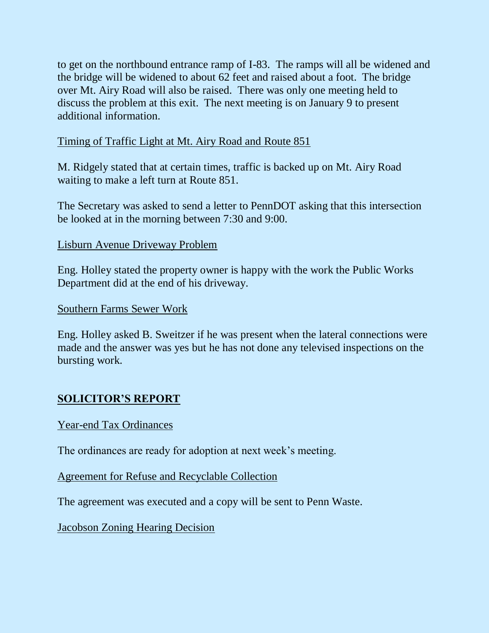to get on the northbound entrance ramp of I-83. The ramps will all be widened and the bridge will be widened to about 62 feet and raised about a foot. The bridge over Mt. Airy Road will also be raised. There was only one meeting held to discuss the problem at this exit. The next meeting is on January 9 to present additional information.

## Timing of Traffic Light at Mt. Airy Road and Route 851

M. Ridgely stated that at certain times, traffic is backed up on Mt. Airy Road waiting to make a left turn at Route 851.

The Secretary was asked to send a letter to PennDOT asking that this intersection be looked at in the morning between 7:30 and 9:00.

#### Lisburn Avenue Driveway Problem

Eng. Holley stated the property owner is happy with the work the Public Works Department did at the end of his driveway.

#### Southern Farms Sewer Work

Eng. Holley asked B. Sweitzer if he was present when the lateral connections were made and the answer was yes but he has not done any televised inspections on the bursting work.

## **SOLICITOR'S REPORT**

#### Year-end Tax Ordinances

The ordinances are ready for adoption at next week's meeting.

#### Agreement for Refuse and Recyclable Collection

The agreement was executed and a copy will be sent to Penn Waste.

Jacobson Zoning Hearing Decision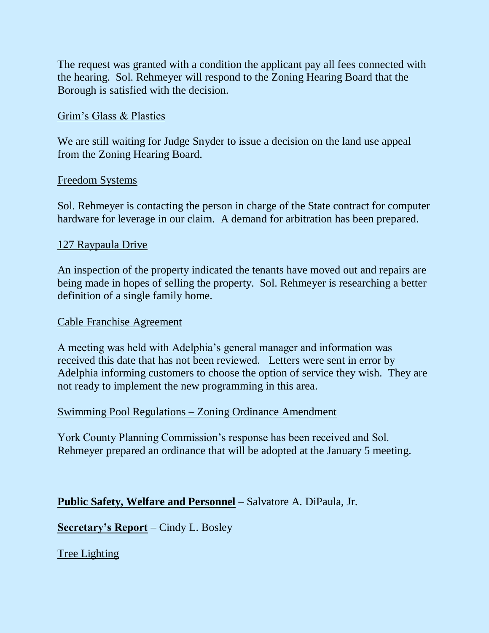The request was granted with a condition the applicant pay all fees connected with the hearing. Sol. Rehmeyer will respond to the Zoning Hearing Board that the Borough is satisfied with the decision.

## Grim's Glass & Plastics

We are still waiting for Judge Snyder to issue a decision on the land use appeal from the Zoning Hearing Board.

## Freedom Systems

Sol. Rehmeyer is contacting the person in charge of the State contract for computer hardware for leverage in our claim. A demand for arbitration has been prepared.

#### 127 Raypaula Drive

An inspection of the property indicated the tenants have moved out and repairs are being made in hopes of selling the property. Sol. Rehmeyer is researching a better definition of a single family home.

#### Cable Franchise Agreement

A meeting was held with Adelphia's general manager and information was received this date that has not been reviewed. Letters were sent in error by Adelphia informing customers to choose the option of service they wish. They are not ready to implement the new programming in this area.

## Swimming Pool Regulations – Zoning Ordinance Amendment

York County Planning Commission's response has been received and Sol. Rehmeyer prepared an ordinance that will be adopted at the January 5 meeting.

## **Public Safety, Welfare and Personnel** – Salvatore A. DiPaula, Jr.

**Secretary's Report** – Cindy L. Bosley

Tree Lighting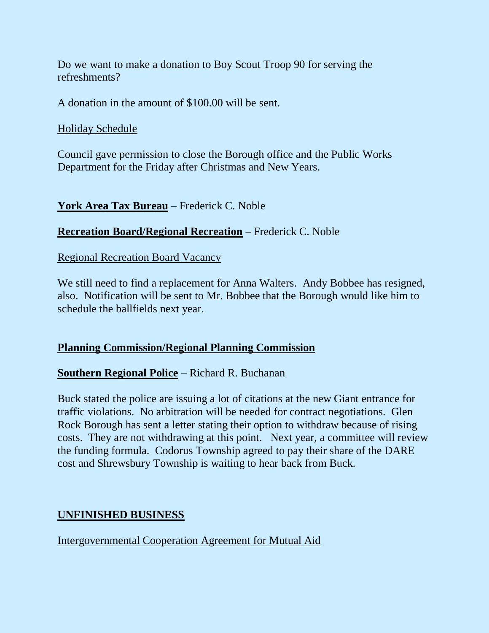Do we want to make a donation to Boy Scout Troop 90 for serving the refreshments?

A donation in the amount of \$100.00 will be sent.

Holiday Schedule

Council gave permission to close the Borough office and the Public Works Department for the Friday after Christmas and New Years.

**York Area Tax Bureau** – Frederick C. Noble

#### **Recreation Board/Regional Recreation** – Frederick C. Noble

Regional Recreation Board Vacancy

We still need to find a replacement for Anna Walters. Andy Bobbee has resigned, also. Notification will be sent to Mr. Bobbee that the Borough would like him to schedule the ballfields next year.

#### **Planning Commission/Regional Planning Commission**

## **Southern Regional Police** – Richard R. Buchanan

Buck stated the police are issuing a lot of citations at the new Giant entrance for traffic violations. No arbitration will be needed for contract negotiations. Glen Rock Borough has sent a letter stating their option to withdraw because of rising costs. They are not withdrawing at this point. Next year, a committee will review the funding formula. Codorus Township agreed to pay their share of the DARE cost and Shrewsbury Township is waiting to hear back from Buck.

## **UNFINISHED BUSINESS**

Intergovernmental Cooperation Agreement for Mutual Aid